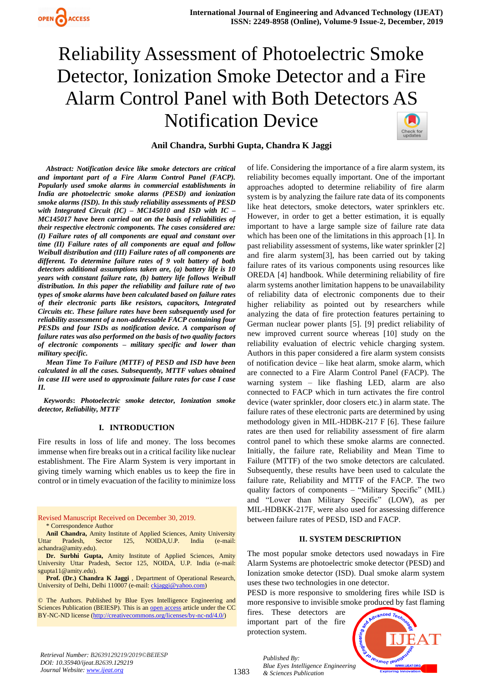

## **Anil Chandra, Surbhi Gupta, Chandra K Jaggi**

*Abstract: Notification device like smoke detectors are critical and important part of a Fire Alarm Control Panel (FACP). Popularly used smoke alarms in commercial establishments in India are photoelectric smoke alarms (PESD) and ionization smoke alarms (ISD). In this study reliability assessments of PESD with Integrated Circuit (IC) – MC145010 and ISD with IC – MC145017 have been carried out on the basis of reliabilities of their respective electronic components. The cases considered are: (I) Failure rates of all components are equal and constant over time (II) Failure rates of all components are equal and follow Weibull distribution and (III) Failure rates of all components are different. To determine failure rates of 9 volt battery of both detectors additional assumptions taken are, (a) battery life is 10 years with constant failure rate, (b) battery life follows Weibull distribution. In this paper the reliability and failure rate of two types of smoke alarms have been calculated based on failure rates of their electronic parts like resistors, capacitors, Integrated Circuits etc. These failure rates have been subsequently used for reliability assessment of a non-addressable FACP containing four PESDs and four ISDs as notification device. A comparison of failure rates was also performed on the basis of two quality factors of electronic components – military specific and lower than military specific.* 

*Mean Time To Failure (MTTF) of PESD and ISD have been calculated in all the cases. Subsequently, MTTF values obtained in case III were used to approximate failure rates for case I case II.*

*Keywords***:** *Photoelectric smoke detector, Ionization smoke detector, Reliability, MTTF*

#### **I. INTRODUCTION**

Fire results in loss of life and money. The loss becomes immense when fire breaks out in a critical facility like nuclear establishment. The Fire Alarm System is very important in giving timely warning which enables us to keep the fire in control or in timely evacuation of the facility to minimize loss

Revised Manuscript Received on December 30, 2019. \* Correspondence Author

**Anil Chandra,** Amity Institute of Applied Sciences, Amity University Uttar Pradesh, Sector 125, NOIDA,U.P. India (e-mail: achandra@amity.edu).

**Dr. Surbhi Gupta,** Amity Institute of Applied Sciences, Amity University Uttar Pradesh, Sector 125, NOIDA, U.P. India (e-mail: sgupta11@amity.edu).

**Prof. (Dr.) Chandra K Jaggi** , Department of Operational Research, University of Delhi, Delhi 110007 (e-mail: [ckjaggi@yahoo.com\)](mailto:ckjaggi@yahoo.com)

© The Authors. Published by Blue Eyes Intelligence Engineering and Sciences Publication (BEIESP). This is a[n open access](https://www.openaccess.nl/en/open-publications) article under the CC BY-NC-ND license [\(http://creativecommons.org/licenses/by-nc-nd/4.0/\)](http://creativecommons.org/licenses/by-nc-nd/4.0/)

of life. Considering the importance of a fire alarm system, its reliability becomes equally important. One of the important approaches adopted to determine reliability of fire alarm system is by analyzing the failure rate data of its components like heat detectors, smoke detectors, water sprinklers etc. However, in order to get a better estimation, it is equally important to have a large sample size of failure rate data which has been one of the limitations in this approach [1]. In past reliability assessment of systems, like water sprinkler [2] and fire alarm system[3], has been carried out by taking failure rates of its various components using resources like OREDA [4] handbook. While determining reliability of fire alarm systems another limitation happens to be unavailability of reliability data of electronic components due to their higher reliability as pointed out by researchers while analyzing the data of fire protection features pertaining to German nuclear power plants [5]. [9] predict reliability of new improved current source whereas [10] study on the reliability evaluation of electric vehicle charging system. Authors in this paper considered a fire alarm system consists of notification device – like heat alarm, smoke alarm, which are connected to a Fire Alarm Control Panel (FACP). The warning system – like flashing LED, alarm are also connected to FACP which in turn activates the fire control device (water sprinkler, door closers etc.) in alarm state. The failure rates of these electronic parts are determined by using methodology given in MIL-HDBK-217 F [6]. These failure rates are then used for reliability assessment of fire alarm control panel to which these smoke alarms are connected. Initially, the failure rate, Reliability and Mean Time to Failure (MTTF) of the two smoke detectors are calculated. Subsequently, these results have been used to calculate the failure rate, Reliability and MTTF of the FACP. The two quality factors of components – "Military Specific" (MIL) and "Lower than Military Specific" (LOW), as per MIL-HDBKK-217F, were also used for assessing difference between failure rates of PESD, ISD and FACP.

#### **II. SYSTEM DESCRIPTION**

The most popular smoke detectors used nowadays in Fire Alarm Systems are photoelectric smoke detector (PESD) and Ionization smoke detector (ISD). Dual smoke alarm system uses these two technologies in one detector.

PESD is more responsive to smoldering fires while ISD is more responsive to invisible smoke produced by fast flaming

fires. These detectors are important part of the fire protection system.



*Retrieval Number: B2639129219/2019©BEIESP DOI: 10.35940/ijeat.B2639.129219 Journal Website[: www.ijeat.org](http://www.ijeat.org/)*

1383

*Published By: Blue Eyes Intelligence Engineering & Sciences Publication*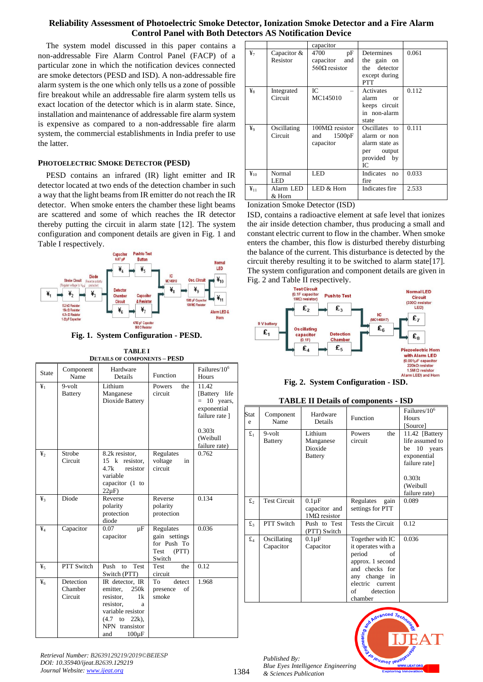The system model discussed in this paper contains a non-addressable Fire Alarm Control Panel (FACP) of a particular zone in which the notification devices connected are smoke detectors (PESD and ISD). A non-addressable fire alarm system is the one which only tells us a zone of possible fire breakout while an addressable fire alarm system tells us exact location of the detector which is in alarm state. Since, installation and maintenance of addressable fire alarm system is expensive as compared to a non-addressable fire alarm system, the commercial establishments in India prefer to use the latter.

## **PHOTOELECTRIC SMOKE DETECTOR (PESD)**

PESD contains an infrared (IR) light emitter and IR detector located at two ends of the detection chamber in such a way that the light beams from IR emitter do not reach the IR detector. When smoke enters the chamber these light beams are scattered and some of which reaches the IR detector thereby putting the circuit in alarm state [12]. The system configuration and component details are given in Fig. 1 and Table I respectively.



**Fig. 1. System Configuration - PESD.**

| <b>TABLEI</b>                       |
|-------------------------------------|
| <b>DETAILS OF COMPONENTS - PESD</b> |

| <b>State</b>                              | Component<br>Name               | Hardware<br>Details                                                                                                                                            | Function                                                             | Failures/10 <sup>6</sup><br>Hours                                                                                  |
|-------------------------------------------|---------------------------------|----------------------------------------------------------------------------------------------------------------------------------------------------------------|----------------------------------------------------------------------|--------------------------------------------------------------------------------------------------------------------|
| $\mathbf{\underline{Y}}_1$                | 9-volt<br><b>Battery</b>        | Lithium<br>Manganese<br>Dioxide Battery                                                                                                                        | Powers<br>the<br>circuit                                             | 11.42<br>[Battery life<br>10 years,<br>$=$<br>exponential<br>failure rate ]<br>0.303t<br>(Weibull<br>failure rate) |
| $\mathbf{y}_2$                            | Strobe<br>Circuit               | 8.2k resistor,<br>$15 \text{ k}$<br>resistor,<br>4.7k<br>resistor<br>variable<br>capacitor (1 to<br>$22\mu F$                                                  | Regulates<br>voltage<br>in<br>circuit                                | 0.762                                                                                                              |
| ¥3                                        | Diode                           | Reverse<br>polarity<br>protection<br>diode                                                                                                                     | Reverse<br>polarity<br>protection                                    | 0.134                                                                                                              |
| $\mathbf{\mathbf{\mathbf{\mathbf{Y}}_4}}$ | Capacitor                       | 0.07<br>$\mu$ F<br>capacitor                                                                                                                                   | Regulates<br>gain settings<br>for Push To<br>Test<br>(PTT)<br>Switch | 0.036                                                                                                              |
| ¥,                                        | PTT Switch                      | Test<br>Push<br>to<br>Switch (PTT)                                                                                                                             | Test<br>the<br>circuit                                               | 0.12                                                                                                               |
| $\mathbf{F}$                              | Detection<br>Chamber<br>Circuit | IR detector, IR<br>emitter,<br>250k<br>resistor,<br>1k<br>resistor.<br>a<br>variable resistor<br>$(4.7)$ to<br>$22k$ ).<br>NPN transistor<br>and<br>$100\mu F$ | To<br>detect<br>of<br>presence<br>smoke                              | 1.968                                                                                                              |

|                   |                         | capacitor                                              |                                                                                    |       |
|-------------------|-------------------------|--------------------------------------------------------|------------------------------------------------------------------------------------|-------|
| ¥7                | Capacitor &<br>Resistor | 4700<br>pF<br>and<br>capacitor<br>$560\Omega$ resistor | <b>Determines</b><br>the gain on<br>the detector<br>except during<br><b>PTT</b>    | 0.061 |
| ¥g                | Integrated<br>Circuit   | IC.<br>MC145010                                        | Activates<br>alarm<br>$\alpha$<br>keeps circuit<br>in non-alarm<br>state           | 0.112 |
| ¥9                | Oscillating<br>Circuit  | $100M\Omega$ resistor<br>1500pF<br>and<br>capacitor    | Oscillates to<br>alarm or non<br>alarm state as<br>per output<br>provided by<br>IС | 0.111 |
| $\mathbf{F}_{10}$ | Normal<br>LED           | <b>LED</b>                                             | Indicates<br>no<br>fire                                                            | 0.033 |
| $\mathbf{F}_{11}$ | Alarm LED<br>& Horn     | LED & Horn                                             | Indicates fire                                                                     | 2.533 |

Ionization Smoke Detector (ISD)

ISD, contains a radioactive element at safe level that ionizes the air inside detection chamber, thus producing a small and constant electric current to flow in the chamber. When smoke enters the chamber, this flow is disturbed thereby disturbing the balance of the current. This disturbance is detected by the circuit thereby resulting it to be switched to alarm state[17]. The system configuration and component details are given in Fig. 2 and Table II respectively.



**TABLE II Details of components - ISD**

| Stat<br>e      | Component<br>Name           | Hardware<br>Details                                        | Function                                                                                                                                                           | Failures/10 <sup>6</sup><br>Hours<br>[Source]                                                                              |
|----------------|-----------------------------|------------------------------------------------------------|--------------------------------------------------------------------------------------------------------------------------------------------------------------------|----------------------------------------------------------------------------------------------------------------------------|
| $f_{1}$        | $9$ -volt<br><b>Battery</b> | Lithium<br>Manganese<br>Dioxide<br>Battery                 | the<br>Powers<br>circuit                                                                                                                                           | 11.42 [Battery<br>life assumed to<br>10 years<br>be<br>exponential<br>failure rate]<br>0.303t<br>(Weibull<br>failure rate) |
| $\mathbf{f}_2$ | <b>Test Circuit</b>         | $0.1 \mu F$<br>capacitor and<br>$1\text{M}\Omega$ resistor | Regulates<br>gain<br>settings for PTT                                                                                                                              | 0.089                                                                                                                      |
| $f_3$          | PTT Switch                  | Push to Test<br>(PTT) Switch                               | Tests the Circuit                                                                                                                                                  | 0.12                                                                                                                       |
| $\mathbf{f}_4$ | Oscillating<br>Capacitor    | $0.1 \mu F$<br>Capacitor                                   | Together with IC<br>it operates with a<br>period<br>of<br>approx. 1 second<br>and checks for<br>any change in<br>electric<br>current<br>detection<br>of<br>chamber | 0.036                                                                                                                      |



*Retrieval Number: B2639129219/2019©BEIESP DOI: 10.35940/ijeat.B2639.129219 Journal Website[: www.ijeat.org](http://www.ijeat.org/)*

*Published By:*

*& Sciences Publication*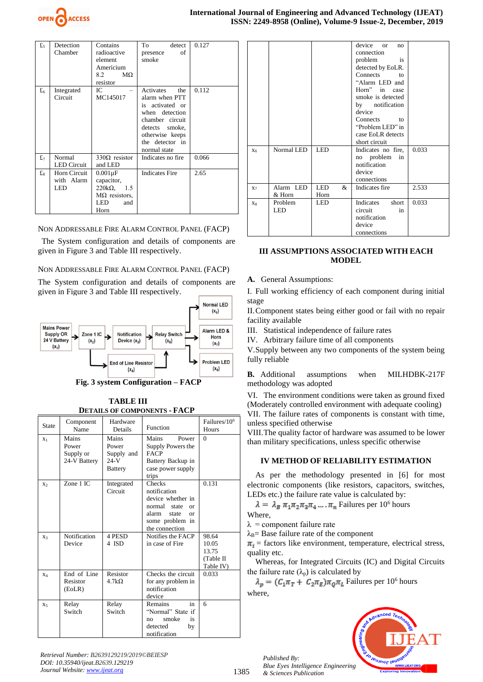

| £5             | Detection<br>Chamber | Contains<br>radioactive<br>element<br>Americium<br>8.2<br>$M\Omega$<br>resistor | To<br>detect<br>οf<br>presence<br>smoke | 0.127 |
|----------------|----------------------|---------------------------------------------------------------------------------|-----------------------------------------|-------|
| f <sub>6</sub> | Integrated           | IC                                                                              | Activates<br>the                        | 0.112 |
|                | Circuit              | MC145017                                                                        | alarm when PTT                          |       |
|                |                      |                                                                                 | is activated or                         |       |
|                |                      |                                                                                 | when detection                          |       |
|                |                      |                                                                                 | chamber circuit                         |       |
|                |                      |                                                                                 | detects<br>smoke,                       |       |
|                |                      |                                                                                 | otherwise keeps                         |       |
|                |                      |                                                                                 | the detector in<br>normal state         |       |
| $\mathbf{f}_7$ | Normal               | $330\Omega$ resistor                                                            | Indicates no fire                       | 0.066 |
|                | <b>LED</b> Circuit   | and LED                                                                         |                                         |       |
| $f_8$          | Horn Circuit         | $0.001\mu F$                                                                    | <b>Indicates Fire</b>                   | 2.65  |
|                | with Alarm           | capacitor,                                                                      |                                         |       |
|                | LED                  | $220k\Omega$ , 1.5                                                              |                                         |       |
|                |                      | $M\Omega$ resistors,                                                            |                                         |       |
|                |                      | LED<br>and                                                                      |                                         |       |
|                |                      | Horn                                                                            |                                         |       |

NON ADDRESSABLE FIRE ALARM CONTROL PANEL (FACP)

The System configuration and details of components are given in Figure 3 and Table III respectively.

## NON ADDRESSABLE FIRE ALARM CONTROL PANEL (FACP)

The System configuration and details of components are given in Figure 3 and Table III respectively.





 **TABLE III DETAILS OF COMPONENTS - FACP**

| State          | Component<br>Name                           | Hardware<br>Details                                      | Function                                                                                                                               | Failures/10 <sup>6</sup><br>Hours                 |
|----------------|---------------------------------------------|----------------------------------------------------------|----------------------------------------------------------------------------------------------------------------------------------------|---------------------------------------------------|
| $X_1$          | Mains<br>Power<br>Supply or<br>24-V Battery | Mains<br>Power<br>Supply and<br>$24-V$<br><b>Battery</b> | <b>Mains</b><br>Power<br>Supply Powers the<br><b>FACP</b><br>Battery Backup in<br>case power supply<br>trips                           | $\Omega$                                          |
| X <sub>2</sub> | Zone 1 IC                                   | Integrated<br>Circuit                                    | Checks<br>notification<br>device whether in<br>normal state<br>$\alpha$ r<br>alarm<br>state<br>or<br>some problem in<br>the connection | 0.131                                             |
| X3             | Notification<br>Device                      | 4 PESD<br>4 ISD                                          | Notifies the FACP<br>in case of Fire                                                                                                   | 98.64<br>10.05<br>13.75<br>(Table II<br>Table IV) |
| X <sub>4</sub> | End of Line<br>Resistor<br>(EoLR)           | Resistor<br>$4.7k\Omega$                                 | Checks the circuit<br>for any problem in<br>notification<br>device                                                                     | 0.033                                             |
| X <sub>5</sub> | Relay<br>Switch                             | Relay<br>Switch                                          | <b>Remains</b><br>in<br>"Normal" State if<br>smoke<br>is<br>no<br>detected<br>by<br>notification                                       | 6                                                 |

*Retrieval Number: B2639129219/2019©BEIESP DOI: 10.35940/ijeat.B2639.129219 Journal Website[: www.ijeat.org](http://www.ijeat.org/)*

|                |                     |                  | device or<br>no<br>connection<br>problem<br>is.<br>detected by EoLR.<br>Connects<br>to<br>"Alarm LED and<br>Horn" in case<br>smoke is detected<br>by notification<br>device<br>Connects<br>to<br>"Problem LED" in<br>case EoLR detects<br>short circuit |       |
|----------------|---------------------|------------------|---------------------------------------------------------------------------------------------------------------------------------------------------------------------------------------------------------------------------------------------------------|-------|
| $X_6$          | Normal LED          | <b>LED</b>       | Indicates no fire,<br>no problem<br>in<br>notification<br>device<br>connections                                                                                                                                                                         | 0.033 |
| $X_7$          | Alarm LED<br>& Horn | LED<br>&<br>Horn | Indicates fire                                                                                                                                                                                                                                          | 2.533 |
| X <sub>8</sub> | Problem<br>LED      | LED              | Indicates<br>short<br>circuit<br>in<br>notification<br>device<br>connections                                                                                                                                                                            | 0.033 |

#### **III ASSUMPTIONS ASSOCIATED WITH EACH MODEL**

#### **A.** General Assumptions:

I. Full working efficiency of each component during initial stage

II.Component states being either good or fail with no repair facility available

III. Statistical independence of failure rates

IV. Arbitrary failure time of all components

V.Supply between any two components of the system being fully reliable

**B.** Additional assumptions when MILHDBK-217F methodology was adopted

VI. The environment conditions were taken as ground fixed (Moderately controlled environment with adequate cooling) VII. The failure rates of components is constant with time, unless specified otherwise

VIII.The quality factor of hardware was assumed to be lower than military specifications, unless specific otherwise

#### **IV METHOD OF RELIABILITY ESTIMATION**

As per the methodology presented in [6] for most electronic components (like resistors, capacitors, switches, LEDs etc.) the failure rate value is calculated by:

 $\lambda = \lambda_B \pi_1 \pi_2 \pi_3 \pi_4 \dots \pi_n$  Failures per 10<sup>6</sup> hours

Where,

 $\lambda$  = component failure rate

 $\lambda_B$ = Base failure rate of the component

 $\pi_i$  = factors like environment, temperature, electrical stress, quality etc.

Whereas, for Integrated Circuits (IC) and Digital Circuits the failure rate  $(\lambda_p)$  is calculated by

 $\lambda_p = (C_1 \pi_T + C_2 \pi_E) \pi_Q \pi_L$  Failures per 10<sup>6</sup> hours where,



1385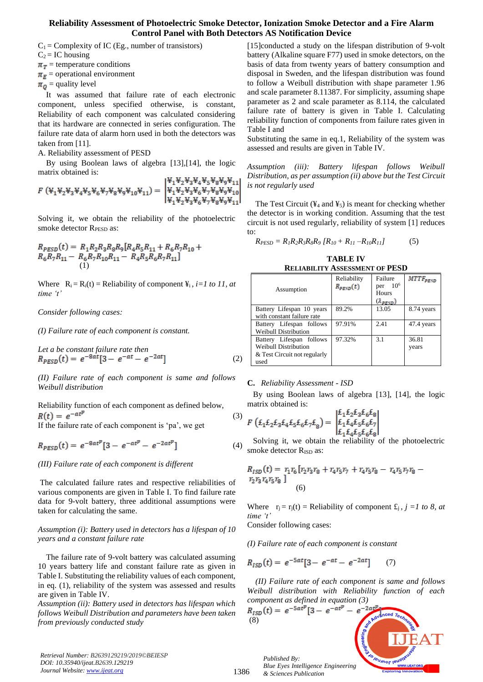$C_1$  = Complexity of IC (Eg., number of transistors)

 $C_2 = IC$  housing

 $\pi_{\tau}$  = temperature conditions

 $\pi_F$  = operational environment

 $\pi_0$  = quality level

It was assumed that failure rate of each electronic component, unless specified otherwise, is constant, Reliability of each component was calculated considering that its hardware are connected in series configuration. The failure rate data of alarm horn used in both the detectors was taken from [11].

A. Reliability assessment of PESD

By using Boolean laws of algebra [13],[14], the logic matrix obtained is: 

$$
F(\Psi_1\Psi_2\Psi_3\Psi_4\Psi_5\Psi_6\Psi_7\Psi_8\Psi_9\Psi_{10}\Psi_{11}) = \begin{vmatrix} \Psi_1\Psi_2\Psi_3\Psi_6\Psi_7\Psi_8\Psi_9\Psi_{10} \\ \Psi_1\Psi_2\Psi_3\Psi_6\Psi_7\Psi_8\Psi_9\Psi_{10} \\ \Psi_1\Psi_2\Psi_3\Psi_6\Psi_7\Psi_8\Psi_9\Psi_{11} \end{vmatrix}
$$

Solving it, we obtain the reliability of the photoelectric smoke detector  $R_{PESD}$  as:

$$
R_{PESD}(t) = R_1 R_2 R_3 R_8 R_9 [R_4 R_5 R_{11} + R_6 R_7 R_{10} + R_6 R_7 R_{11} - R_6 R_7 R_{10} R_{11} - R_4 R_5 R_6 R_7 R_{11}]
$$
  
(1)

Where  $R_i = R_i(t) = Reliability of component  $\Psi_i$ ,  $i = 1$  to 11, at$ *time 't'*

#### *Consider following cases:*

*(I) Failure rate of each component is constant.*

Let a be constant failure rate then  
\n
$$
R_{PESD}(t) = e^{-8at} [3 - e^{-at} - e^{-2at}]
$$
\n(2)

*(II) Failure rate of each component is same and follows Weibull distribution* 

Reliability function of each component as defined below,  $R(t) = e^{-at^p}$ (3)

If the failure rate of each component is 'pa', we get

$$
R_{PESD}(t) = e^{-8at^p} [3 - e^{-at^p} - e^{-2at^p}] \tag{4}
$$

*(III) Failure rate of each component is different*

The calculated failure rates and respective reliabilities of various components are given in Table I. To find failure rate data for 9-volt battery, three additional assumptions were taken for calculating the same.

*Assumption (i): Battery used in detectors has a lifespan of 10 years and a constant failure rate*

The failure rate of 9-volt battery was calculated assuming 10 years battery life and constant failure rate as given in Table I. Substituting the reliability values of each component, in eq. (1), reliability of the system was assessed and results are given in Table IV.

*Assumption (ii): Battery used in detectors has lifespan which follows Weibull Distribution and parameters have been taken from previously conducted study* 

[15]conducted a study on the lifespan distribution of 9-volt battery (Alkaline square F77) used in smoke detectors, on the basis of data from twenty years of battery consumption and disposal in Sweden, and the lifespan distribution was found to follow a Weibull distribution with shape parameter 1.96 and scale parameter 8.11387. For simplicity, assuming shape parameter as 2 and scale parameter as 8.114, the calculated failure rate of battery is given in Table I. Calculating reliability function of components from failure rates given in Table I and

Substituting the same in eq.1, Reliability of the system was assessed and results are given in Table IV.

*Assumption (iii): Battery lifespan follows Weibull Distribution, as per assumption (ii) above but the Test Circuit is not regularly used*

The Test Circuit ( $\frac{1}{4}$  and  $\frac{1}{5}$ ) is meant for checking whether the detector is in working condition. Assuming that the test circuit is not used regularly, reliability of system [1] reduces to:

$$
R_{PESD} = R_1 R_2 R_3 R_8 R_9 [R_{10} + R_{11} - R_{10} R_{11}] \tag{5}
$$

**TABLE IV RELIABILITY ASSESSMENT OF PESD**

| Assumption                                                                                      | Reliability<br>$R_{p\bar{e}s\rho}(t)$ | Failure<br>per $106$<br>Hours<br>$(\lambda_{PESD})$ | $MTTF_{p_{END}}$ |
|-------------------------------------------------------------------------------------------------|---------------------------------------|-----------------------------------------------------|------------------|
| Battery Lifespan 10 years<br>with constant failure rate                                         | 89.2%                                 | 13.05                                               | 8.74 years       |
| Battery Lifespan follows<br>Weibull Distribution                                                | 97.91%                                | 2.41                                                | 47.4 years       |
| Battery Lifespan follows<br><b>Weibull Distribution</b><br>& Test Circuit not regularly<br>used | 97.32%                                | 3.1                                                 | 36.81<br>years   |

#### **C.** *Reliability Assessment - ISD*

By using Boolean laws of algebra [13], [14], the logic matrix obtained is:

$$
F\left(\pounds_1 \pounds_2 \pounds_3 \pounds_4 \pounds_5 \pounds_6 \pounds_7 \pounds_8\right) = \begin{vmatrix} \pounds_1 \pounds_2 \pounds_3 \pounds_6 \pounds_8\\ \pounds_1 \pounds_4 \pounds_5 \pounds_6 \pounds_7\\ \pounds_1 \pounds_4 \pounds_5 \pounds_6 \pounds_8 \end{vmatrix}
$$

Solving it, we obtain the reliability of the photoelectric smoke detector  $R_{\text{ISD}}$  as:

$$
R_{ISD}(t) = r_1 r_6 [r_2 r_3 r_8 + r_4 r_5 r_7 + r_4 r_5 r_8 - r_4 r_5 r_7 r_8 - r_2 r_3 r_4 r_5 r_8]
$$
  
(6)

Where  $r_i = r_i(t) = Reliability of component  $\mathcal{L}_i$ ,  $j = l$  to 8, at$ *time 't'* Consider following cases:

*(I) Failure rate of each component is constant* 

$$
R_{ISD}(t) = e^{-5at} [3 - e^{-at} - e^{-2at}] \tag{7}
$$

*(II) Failure rate of each component is same and follows Weibull distribution with Reliability function of each component as defined in equation (3)*



*Retrieval Number: B2639129219/2019©BEIESP DOI: 10.35940/ijeat.B2639.129219 Journal Website[: www.ijeat.org](http://www.ijeat.org/)*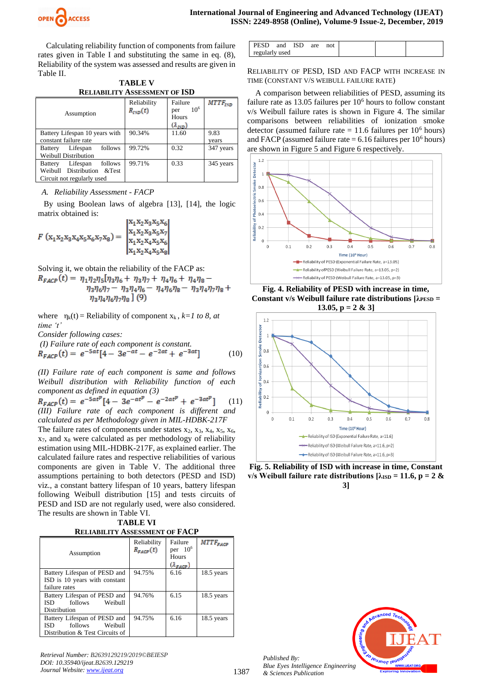

Calculating reliability function of components from failure rates given in Table I and substituting the same in eq. (8), Reliability of the system was assessed and results are given in Table II.

| <b>TABLE V</b>                       |  |  |  |
|--------------------------------------|--|--|--|
| <b>RELIABILITY ASSESSMENT OF ISD</b> |  |  |  |

| Assumption                            | Reliability<br>$R_{ISD}(t)$ | Failure<br>$10^{6}$<br>per<br>Hours<br>$(\lambda_{ISD})$ | $MTTF_{lSD}$ |
|---------------------------------------|-----------------------------|----------------------------------------------------------|--------------|
| Battery Lifespan 10 years with        | 90.34%                      | 11.60                                                    | 9.83         |
| constant failure rate                 |                             |                                                          | vears        |
| follows<br>Lifespan<br><b>Battery</b> | 99.72%                      | 0.32                                                     | 347 years    |
| <b>Weibull Distribution</b>           |                             |                                                          |              |
| follows<br>Lifespan<br><b>Battery</b> | 99.71%                      | 0.33                                                     | 345 years    |
| Weibull Distribution &Test            |                             |                                                          |              |
| Circuit not regularly used            |                             |                                                          |              |

#### *A. Reliability Assessment - FACP*

By using Boolean laws of algebra [13], [14], the logic matrix obtained is:

$$
F(x_1x_2x_3x_4x_5x_6x_7x_8) = \begin{vmatrix} x_1x_2x_3x_5x_6 \ x_1x_2x_3x_5x_7 \ x_1x_2x_4x_5x_6 \ x_1x_2x_4x_5x_8 \end{vmatrix}
$$

Solving it, we obtain the reliability of the FACP as:<br> $R_{FACP}(t) = \eta_1 \eta_2 \eta_5 [\eta_3 \eta_6 + \eta_3 \eta_7 + \eta_4 \eta_6 + \eta_4 \eta_8 \eta_3\eta_6\eta_7-\eta_3\eta_4\eta_6-\eta_4\eta_6\eta_8-\eta_3\eta_4\eta_7\eta_8+$  $\eta_3 \eta_4 \eta_6 \eta_7 \eta_8$ ](9)

where  $\eta_k(t) =$  Reliability of component  $x_k$ ,  $k=1$  to 8, at *time 't'*

*Consider following cases:*

(I) Failure rate of each component is constant.  
\n
$$
R_{FACP}(t) = e^{-5at}[4 - 3e^{-at} - e^{-2at} + e^{-3at}]
$$
\n(10)

*(II) Failure rate of each component is same and follows Weibull distribution with Reliability function of each component as defined in equation (3)*

(11) *(III) Failure rate of each component is different and calculated as per Methodology given in MIL-HDBK-217F*

The failure rates of components under states  $x_2$ ,  $x_3$ ,  $x_4$ ,  $x_5$ ,  $x_6$ , x7, and x<sup>8</sup> were calculated as per methodology of reliability estimation using MIL-HDBK-217F, as explained earlier. The calculated failure rates and respective reliabilities of various components are given in Table V. The additional three assumptions pertaining to both detectors (PESD and ISD) viz., a constant battery lifespan of 10 years, battery lifespan following Weibull distribution [15] and tests circuits of PESD and ISD are not regularly used, were also considered. The results are shown in Table VI.

| <b>TABLE VI</b>                       |
|---------------------------------------|
| <b>RELIABILITY ASSESSMENT OF FACP</b> |

| Assumption                      | Reliability<br>$R_{\text{FACP}}(t)$ | Failure<br>per $106$<br>Hours<br>$(\lambda_{\text{FACP}})$ | $MTTF_{FACP}$ |
|---------------------------------|-------------------------------------|------------------------------------------------------------|---------------|
| Battery Lifespan of PESD and    | 94.75%                              | 6.16                                                       | 18.5 years    |
| ISD is 10 years with constant   |                                     |                                                            |               |
| failure rates                   |                                     |                                                            |               |
| Battery Lifespan of PESD and    | 94.76%                              | 6.15                                                       | 18.5 years    |
| follows<br>Weibull<br>ISD       |                                     |                                                            |               |
| Distribution                    |                                     |                                                            |               |
| Battery Lifespan of PESD and    | 94.75%                              | 6.16                                                       | 18.5 years    |
| follows<br>Weibull<br>ISD —     |                                     |                                                            |               |
| Distribution & Test Circuits of |                                     |                                                            |               |

| Retrieval Number: B2639129219/2019©BEIESP |
|-------------------------------------------|
| DOI: 10.35940/ijeat.B2639.129219          |
| Journal Website: www.ijeat.org            |

| PESD -         | and | <b>ISD</b> | are | not |  |  |
|----------------|-----|------------|-----|-----|--|--|
| regularly used |     |            |     |     |  |  |

RELIABILITY OF PESD, ISD AND FACP WITH INCREASE IN TIME (CONSTANT V/S WEIBULL FAILURE RATE)

A comparison between reliabilities of PESD, assuming its failure rate as 13.05 failures per 10<sup>6</sup> hours to follow constant v/s Weibull failure rates is shown in Figure 4. The similar comparisons between reliabilities of ionization smoke detector (assumed failure rate = 11.6 failures per  $10^6$  hours) and FACP (assumed failure rate  $= 6.16$  failures per 10<sup>6</sup> hours) are shown in Figure 5 and Figure 6 respectively.



**Fig. 4. Reliability of PESD with increase in time, Constant v/s Weibull failure rate distributions [λPESD = 13.05, p = 2 & 3]**



**Fig. 5. Reliability of ISD with increase in time, Constant v/s** Weibull failure rate distributions  $[\lambda_{\text{ISD}} = 11.6, p = 2 \&$ **3]**



*Published By: Blue Eyes Intelligence Engineering & Sciences Publication* 

1387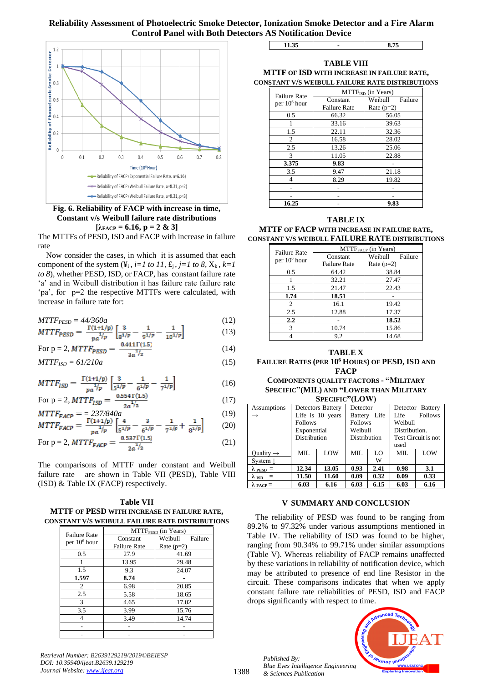

**Fig. 6. Reliability of FACP with increase in time, Constant v/s Weibull failure rate distributions**  $[\lambda_{\text{FACP}} = 6.16, p = 2 \& 3]$ 

The MTTFs of PESD, ISD and FACP with increase in failure rate

Now consider the cases, in which it is assumed that each component of the system  $(\mathbf{\ddot{x}}_i, i=1 \text{ to } 11, \mathbf{\dot{x}}_i, j=1 \text{ to } 8, \mathbf{X}_k, k=1)$ *to 8*), whether PESD, ISD, or FACP, has constant failure rate 'a' and in Weibull distribution it has failure rate failure rate 'pa', for p=2 the respective MTTFs were calculated, with increase in failure rate for:

$$
MTTF_{PESD} = 44/360a \tag{12}
$$

$$
MTTF_{PESD} = \frac{1(1+1/p)}{p_a^{1/p}} \left[ \frac{s}{g^{1/p}} - \frac{1}{g^{1/p}} - \frac{1}{10^{1/p}} \right] \tag{13}
$$

For p = 2, 
$$
MTTF_{PESD} = \frac{0.411(1.3)}{3a^{1/2}}
$$
 (14)  
  $MTTF_{ISD} = 61/210a$  (15)

$$
MTTF_{ISD} = \frac{\Gamma(1+1/p)}{pa^{\frac{1}{p}}}\left[\frac{3}{5^{1/p}} - \frac{1}{6^{1/p}} - \frac{1}{7^{1/p}}\right]
$$
(16)

For p = 2, 
$$
MTTF_{ISD} = \frac{0.554 \Gamma(1.5)}{2a^{1/2}}
$$
 (17)

$$
MTTF_{FACP} = 237/840a \tag{19}
$$
\n
$$
MTTF_{FACP} = \frac{\Gamma(1+1/p)}{17} \left[ \frac{4}{-1/2} - \frac{3}{-1/2} - \frac{1}{-1/2} + \frac{1}{-1/2} \right] \tag{20}
$$

For p = 2, 
$$
MTTF_{FACP} = \frac{0.537 \Gamma(1.5)}{2a^{1/2}}
$$
 (20)  
\n(21)

The comparisons of MTTF under constant and Weibull failure rate are shown in Table VII (PESD), Table VIII (ISD) & Table IX (FACP) respectively.

#### **Table VII MTTF OF PESD WITH INCREASE IN FAILURE RATE, CONSTANT V/S WEIBULL FAILURE RATE DISTRIBUTIONS**

| <b>Failure Rate</b>      | MTTF <sub>PESD</sub> (in Years) |                    |  |  |  |
|--------------------------|---------------------------------|--------------------|--|--|--|
| per 10 <sup>6</sup> hour | Constant                        | Weibull<br>Failure |  |  |  |
|                          | <b>Failure Rate</b>             | Rate $(p=2)$       |  |  |  |
| 0.5                      | 27.9                            | 41.69              |  |  |  |
|                          | 13.95                           | 29.48              |  |  |  |
| 1.5                      | 9.3                             | 24.07              |  |  |  |
| 1.597                    | 8.74                            |                    |  |  |  |
| $\overline{c}$           | 6.98                            | 20.85              |  |  |  |
| 2.5                      | 5.58                            | 18.65              |  |  |  |
| 3                        | 4.65                            | 17.02              |  |  |  |
| 3.5                      | 3.99                            | 15.76              |  |  |  |
|                          | 3.49                            | 14.74              |  |  |  |
|                          |                                 |                    |  |  |  |
|                          |                                 |                    |  |  |  |

**11.35 - 8.75**

**TABLE VIII MTTF OF ISD WITH INCREASE IN FAILURE RATE, CONSTANT V/S WEIBULL FAILURE RATE DISTRIBUTIONS**

| <b>Failure Rate</b> | $MTTFISD$ (in Years) |                    |  |  |  |
|---------------------|----------------------|--------------------|--|--|--|
| per $106$ hour      | Constant             | Weibull<br>Failure |  |  |  |
|                     | <b>Failure Rate</b>  | Rate $(p=2)$       |  |  |  |
| 0.5                 | 66.32                | 56.05              |  |  |  |
|                     | 33.16                | 39.63              |  |  |  |
| 1.5                 | 22.11                | 32.36              |  |  |  |
| 2                   | 16.58                | 28.02              |  |  |  |
| 2.5                 | 13.26                | 25.06              |  |  |  |
| 3                   | 11.05                | 22.88              |  |  |  |
| 3.375               | 9.83                 |                    |  |  |  |
| 3.5                 | 21.18<br>9.47        |                    |  |  |  |
| 4                   | 8.29                 | 19.82              |  |  |  |
|                     |                      |                    |  |  |  |
|                     |                      |                    |  |  |  |
| 16.25               | 9.83                 |                    |  |  |  |

#### **TABLE IX**

**MTTF OF FACP WITH INCREASE IN FAILURE RATE, CONSTANT V/S WEIBULL FAILURE RATE DISTRIBUTIONS**

| <b>Failure Rate</b><br>per $106$ hour | $MTTFFACP$ (in Years) |                    |  |  |  |
|---------------------------------------|-----------------------|--------------------|--|--|--|
|                                       | Constant              | Failure<br>Weibull |  |  |  |
|                                       | <b>Failure Rate</b>   | Rate $(p=2)$       |  |  |  |
| 0.5                                   | 64.42                 | 38.84              |  |  |  |
|                                       | 32.21                 | 27.47              |  |  |  |
| 1.5                                   | 21.47                 | 22.43              |  |  |  |
| 1.74                                  | 18.51                 |                    |  |  |  |
| 2                                     | 16.1                  | 19.42              |  |  |  |
| 2.5                                   | 12.88                 | 17.37              |  |  |  |
| $2.2\,$                               |                       | 18.52              |  |  |  |
| 3                                     | 10.74                 | 15.86              |  |  |  |
|                                       | 9.2                   | 14.68              |  |  |  |

#### **TABLE X FAILURE RATES (PER 10<sup>6</sup> HOURS) OF PESD, ISD AND FACP**

**COMPONENTS QUALITY FACTORS - "MILITARY SPECIFIC"(MIL) AND "LOWER THAN MILITARY SPECIFIC"(LOW)**

| Assumptions               |                | <b>Detectors Battery</b> | Detector       |              | Detector Battery    |         |
|---------------------------|----------------|--------------------------|----------------|--------------|---------------------|---------|
|                           |                | Life is 10 years         |                | Battery Life | Life                | Follows |
|                           | <b>Follows</b> |                          | <b>Follows</b> |              | Weibull             |         |
|                           | Exponential    |                          | Weibull        |              | Distribution.       |         |
|                           | Distribution   |                          | Distribution   |              | Test Circuit is not |         |
|                           |                |                          |                |              | used                |         |
| Ouality $\rightarrow$     | MIL.           | LOW                      | MIL.           | LO           | MIL.                | LOW     |
| System $\downarrow$       |                |                          |                | W            |                     |         |
| $\lambda$ PESD =          | 12.34          | 13.05                    | 0.93           | 2.41         | 0.98                | 3.1     |
| $\lambda$ ISD =           | 11.50          | 11.60                    | 0.09           | 0.32         | 0.09                | 0.33    |
| $\lambda_{\text{FACP}} =$ | 6.03           | 6.16                     | 6.03           | 6.15         | 6.03                | 6.16    |

#### **V SUMMARY AND CONCLUSION**

The reliability of PESD was found to be ranging from 89.2% to 97.32% under various assumptions mentioned in Table IV. The reliability of ISD was found to be higher, ranging from 90.34% to 99.71% under similar assumptions (Table V). Whereas reliability of FACP remains unaffected by these variations in reliability of notification device, which may be attributed to presence of end line Resistor in the circuit. These comparisons indicates that when we apply constant failure rate reliabilities of PESD, ISD and FACP drops significantly with respect to time.

*Published By: Blue Eyes Intelligence Engineering & Sciences Publication* 



*Retrieval Number: B2639129219/2019©BEIESP DOI: 10.35940/ijeat.B2639.129219 Journal Website[: www.ijeat.org](http://www.ijeat.org/)*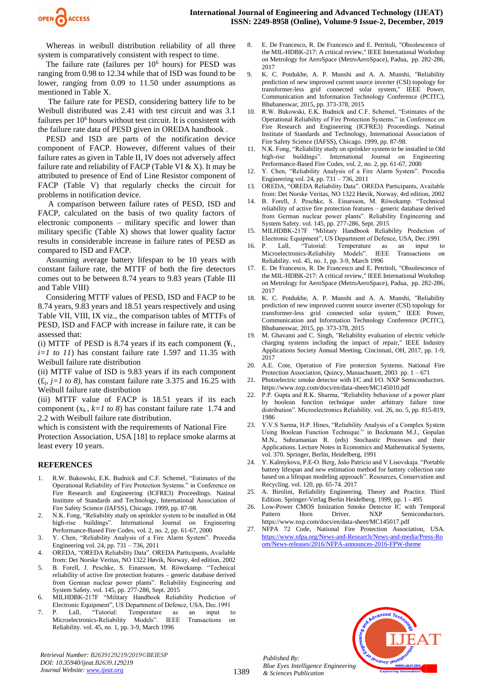

Whereas in weibull distribution reliability of all three system is comparatively consistent with respect to time.

The failure rate (failures per  $10<sup>6</sup>$  hours) for PESD was ranging from 0.98 to 12.34 while that of ISD was found to be lower, ranging from 0.09 to 11.50 under assumptions as mentioned in Table X.

The failure rate for PESD, considering battery life to be Weibull distributed was 2.41 with test circuit and was 3.1 failures per  $10<sup>6</sup>$  hours without test circuit. It is consistent with the failure rate data of PESD given in OREDA handbook .

PESD and ISD are parts of the notification device component of FACP. However, different values of their failure rates as given in Table II, IV does not adversely affect failure rate and reliability of FACP (Table VI  $& X$ ). It may be attributed to presence of End of Line Resistor component of FACP (Table V) that regularly checks the circuit for problems in notification device.

 A comparison between failure rates of PESD, ISD and FACP, calculated on the basis of two quality factors of electronic components – military specific and lower than military specific (Table X) shows that lower quality factor results in considerable increase in failure rates of PESD as compared to ISD and FACP.

Assuming average battery lifespan to be 10 years with constant failure rate, the MTTF of both the fire detectors comes out to be between 8.74 years to 9.83 years (Table III and Table VIII)

Considering MTTF values of PESD, ISD and FACP to be 8.74 years, 9.83 years and 18.51 years respectively and using Table VII, VIII, IX viz., the comparison tables of MTTFs of PESD, ISD and FACP with increase in failure rate, it can be assessed that:

(i) MTTF of PESD is 8.74 years if its each component  $(\mathbf{F}_i, \mathbf{F}_j)$ *i=1 to 11*) has constant failure rate 1.597 and 11.35 with Weibull failure rate distribution

(ii) MTTF value of ISD is 9.83 years if its each component  $(\textbf{f}_i, j=1 \text{ to } 8)$ , has constant failure rate 3.375 and 16.25 with Weibull failure rate distribution

(iii) MTTF value of FACP is 18.51 years if its each component  $(x_k, k=1 \text{ to } 8)$  has constant failure rate 1.74 and 2.2 with Weibull failure rate distribution.

which is consistent with the requirements of National Fire Protection Association, USA [18] to replace smoke alarms at least every 10 years.

#### **REFERENCES**

- 1. R.W. Bukowski, E.K. Budnick and C.F. Schemel, "Estimates of the Operational Reliability of Fire Protection Systems." in Conference on Fire Research and Engineering (ICFRE3) Proceedings. Natinal Institute of Standards and Technology, International Association of Fire Safety Science (IAFSS), Chicago. 1999, pp. 87-98.
- 2. N.K. Fong, "Reliability study on sprinkler system to be installed in Old high-rise buildings". International Journal on Engineering Performance-Based Fire Codes, vol. 2, no. 2, pp. 61-67, 2000
- 3. Y. Chen, "Reliability Analysis of a Fire Alarm System". Procedia Engineering vol. 24, pp. 731 – 736, 2011
- 4. OREDA, "OREDA Reliability Data". OREDA Participants, Available from: Det Norske Veritas, NO 1322 Høvik, Norway, 4rd edition, 2002
- 5. B. Forell, J. Peschke, S. Einarsson, M. Röwekamp. "Technical reliability of active fire protection features – generic database derived from German nuclear power plants". Reliability Engineering and System Safety. vol. 145, pp. 277-286, Sept. 2015
- 6. MILHDBK-217F "Military Handbook Reliability Prediction of Electronic Equipment", US Department of Defence, USA, Dec.1991<br>P. I.all. "Tutorial: Temperature as an input t
- 7. P. Lall, "Tutorial: Temperature as an input to Microelectronics-Reliability Models". IEEE Transactions on Reliability. vol. 45, no. 1, pp. 3-9, March 1996
- 8. E. De Francesco, R. De Francesco and E. Petritoli, "Obsolescence of the MIL-HDBK-217: A critical review," IEEE International Workshop on Metrology for AeroSpace (MetroAeroSpace), Padua, pp. 282-286, 2017
- 9. K. C. Potdukhe, A. P. Munshi and A. A. Munshi, "Reliability prediction of new improved current source inverter (CSI) topology for transformer-less grid connected solar system," IEEE Power, Communication and Information Technology Conference (PCITC), Bhubaneswar, 2015, pp. 373-378, 2015
- 10. R.W. Bukowski, E.K. Budnick and C.F. Schemel, "Estimates of the Operational Reliability of Fire Protection Systems." in Conference on Fire Research and Engineering (ICFRE3) Proceedings. Natinal Institute of Standards and Technology, International Association of Fire Safety Science (IAFSS), Chicago. 1999, pp. 87-98.
- 11. N.K. Fong, "Reliability study on sprinkler system to be installed in Old high-rise buildings". International Journal on Engineering Performance-Based Fire Codes, vol. 2, no. 2, pp. 61-67, 2000
- 12. Y. Chen, "Reliability Analysis of a Fire Alarm System". Procedia Engineering vol. 24, pp. 731 – 736, 2011
- 13. OREDA, "OREDA Reliability Data". OREDA Participants, Available from: Det Norske Veritas, NO 1322 Høvik, Norway, 4rd edition, 2002
- 14. B. Forell, J. Peschke, S. Einarsson, M. Röwekamp. "Technical reliability of active fire protection features – generic database derived from German nuclear power plants". Reliability Engineering and System Safety. vol. 145, pp. 277-286, Sept. 2015
- 15. MILHDBK-217F "Military Handbook Reliability Prediction of Electronic Equipment", US Department of Defence, USA, Dec.1991
- 16. P. Lall, "Tutorial: Temperature as an input to Microelectronics-Reliability Models". IEEE Transactions on Reliability. vol. 45, no. 1, pp. 3-9, March 1996
- 17. E. De Francesco, R. De Francesco and E. Petritoli, "Obsolescence of the MIL-HDBK-217: A critical review," IEEE International Workshop on Metrology for AeroSpace (MetroAeroSpace), Padua, pp. 282-286, 2017
- 18. K. C. Potdukhe, A. P. Munshi and A. A. Munshi, "Reliability prediction of new improved current source inverter (CSI) topology for transformer-less grid connected solar system," IEEE Power, Communication and Information Technology Conference (PCITC), Bhubaneswar, 2015, pp. 373-378, 2015
- 19. M. Ghavami and C. Singh, "Reliability evaluation of electric vehicle charging systems including the impact of repair," IEEE Industry Applications Society Annual Meeting, Cincinnati, OH, 2017, pp. 1-9, 2017
- 20. A.E. Cote, Operation of Fire protection Systems. National Fire Protection Association, Quincy, Massachusett, 2003 pp. 1 – 671
- 21. Photoelectric smoke detector with I/C and I/O. NXP Semiconductors. https://www.nxp.com/docs/en/data-sheet/MC145010.pdf
- 22. P.P. Gupta and R.K. Sharma, "Reliability behaviour of a power plant by boolean function technique under arbitrary failure time distribution". Microelectronics Reliability. vol. 26, no. 5, pp. 815-819, 1986
- 23. Y.V.S Sarma, H.P. Hines, "Reliability Analysis of a Complex System Using Boolean Function Technique." in Beckmann M.J., Gopalan M.N., Subramanian R. (eds) Stochastic Processes and their Applications. Lecture Notes in Economics and Mathematical Systems, vol. 370. Springer, Berlin, Heidelberg, 1991
- 24. Y. Kalmykova, P.E-O. Berg, João Patrício and V Lisovskaja. "Portable battery lifespan and new estimation method for battery collection rate based on a lifespan modeling approach". Resources, Conservation and Recycling. vol. 120, pp. 65-74. 2017
- 25. A. Birolini, Reliability Engineering. Theory and Practice. Third Edition. Springer-Verlag Berlin Heidelberg. 1999, pp. 1 - 495
- 26. Low-Power CMOS Ionization Smoke Detector IC with Temporal Pattern Horn Driver. NXP Semiconductors. https://www.nxp.com/docs/en/data-sheet/MC145017.pdf
- 27. NFPA 72 Code, National Fire Protection Association, USA. [https://www.nfpa.org/News-and-Research/News-and-media/Press-Ro](https://www.nfpa.org/News-and-Research/News-and-media/Press-Room/News-releases/2016/NFPA-announces-2016-FPW-theme) [om/News-releases/2016/NFPA-announces-2016-FPW-theme](https://www.nfpa.org/News-and-Research/News-and-media/Press-Room/News-releases/2016/NFPA-announces-2016-FPW-theme)



*Retrieval Number: B2639129219/2019©BEIESP DOI: 10.35940/ijeat.B2639.129219 Journal Website[: www.ijeat.org](http://www.ijeat.org/)*

*Published By: Blue Eyes Intelligence Engineering & Sciences Publication*